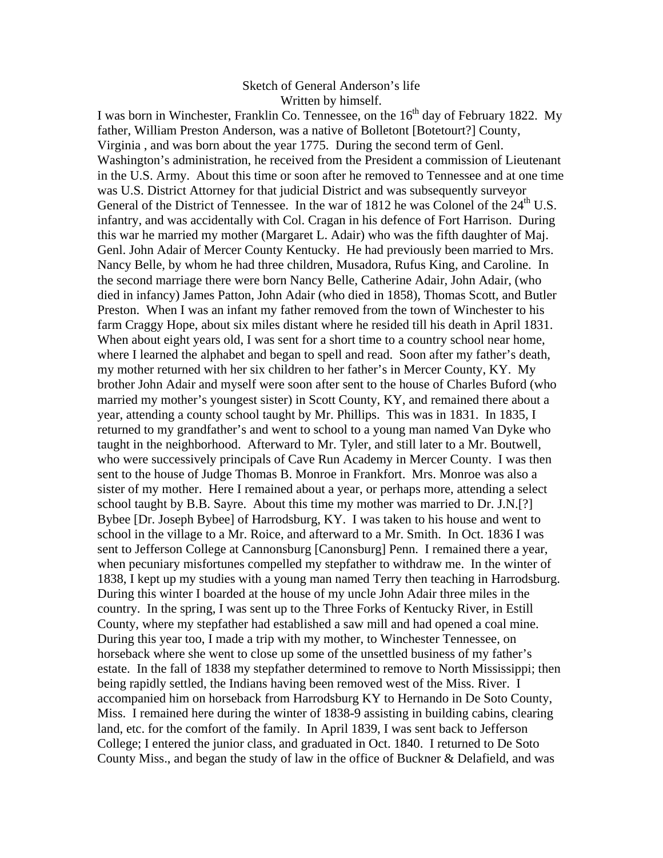## Sketch of General Anderson's life Written by himself.

I was born in Winchester, Franklin Co. Tennessee, on the  $16<sup>th</sup>$  day of February 1822. My father, William Preston Anderson, was a native of Bolletont [Botetourt?] County, Virginia , and was born about the year 1775. During the second term of Genl. Washington's administration, he received from the President a commission of Lieutenant in the U.S. Army. About this time or soon after he removed to Tennessee and at one time was U.S. District Attorney for that judicial District and was subsequently surveyor General of the District of Tennessee. In the war of 1812 he was Colonel of the  $24<sup>th</sup>$  U.S. infantry, and was accidentally with Col. Cragan in his defence of Fort Harrison. During this war he married my mother (Margaret L. Adair) who was the fifth daughter of Maj. Genl. John Adair of Mercer County Kentucky. He had previously been married to Mrs. Nancy Belle, by whom he had three children, Musadora, Rufus King, and Caroline. In the second marriage there were born Nancy Belle, Catherine Adair, John Adair, (who died in infancy) James Patton, John Adair (who died in 1858), Thomas Scott, and Butler Preston. When I was an infant my father removed from the town of Winchester to his farm Craggy Hope, about six miles distant where he resided till his death in April 1831. When about eight years old, I was sent for a short time to a country school near home, where I learned the alphabet and began to spell and read. Soon after my father's death, my mother returned with her six children to her father's in Mercer County, KY. My brother John Adair and myself were soon after sent to the house of Charles Buford (who married my mother's youngest sister) in Scott County, KY, and remained there about a year, attending a county school taught by Mr. Phillips. This was in 1831. In 1835, I returned to my grandfather's and went to school to a young man named Van Dyke who taught in the neighborhood. Afterward to Mr. Tyler, and still later to a Mr. Boutwell, who were successively principals of Cave Run Academy in Mercer County. I was then sent to the house of Judge Thomas B. Monroe in Frankfort. Mrs. Monroe was also a sister of my mother. Here I remained about a year, or perhaps more, attending a select school taught by B.B. Sayre. About this time my mother was married to Dr. J.N.[?] Bybee [Dr. Joseph Bybee] of Harrodsburg, KY. I was taken to his house and went to school in the village to a Mr. Roice, and afterward to a Mr. Smith. In Oct. 1836 I was sent to Jefferson College at Cannonsburg [Canonsburg] Penn. I remained there a year, when pecuniary misfortunes compelled my stepfather to withdraw me. In the winter of 1838, I kept up my studies with a young man named Terry then teaching in Harrodsburg. During this winter I boarded at the house of my uncle John Adair three miles in the country. In the spring, I was sent up to the Three Forks of Kentucky River, in Estill County, where my stepfather had established a saw mill and had opened a coal mine. During this year too, I made a trip with my mother, to Winchester Tennessee, on horseback where she went to close up some of the unsettled business of my father's estate. In the fall of 1838 my stepfather determined to remove to North Mississippi; then being rapidly settled, the Indians having been removed west of the Miss. River. I accompanied him on horseback from Harrodsburg KY to Hernando in De Soto County, Miss. I remained here during the winter of 1838-9 assisting in building cabins, clearing land, etc. for the comfort of the family. In April 1839, I was sent back to Jefferson College; I entered the junior class, and graduated in Oct. 1840. I returned to De Soto County Miss., and began the study of law in the office of Buckner & Delafield, and was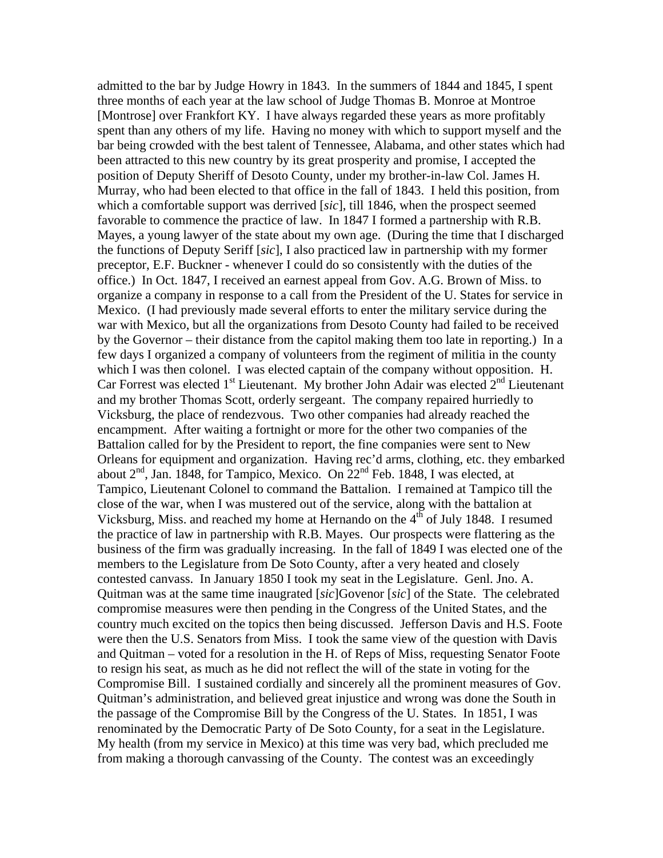admitted to the bar by Judge Howry in 1843. In the summers of 1844 and 1845, I spent three months of each year at the law school of Judge Thomas B. Monroe at Montroe [Montrose] over Frankfort KY. I have always regarded these years as more profitably spent than any others of my life. Having no money with which to support myself and the bar being crowded with the best talent of Tennessee, Alabama, and other states which had been attracted to this new country by its great prosperity and promise, I accepted the position of Deputy Sheriff of Desoto County, under my brother-in-law Col. James H. Murray, who had been elected to that office in the fall of 1843. I held this position, from which a comfortable support was derrived [*sic*], till 1846, when the prospect seemed favorable to commence the practice of law. In 1847 I formed a partnership with R.B. Mayes, a young lawyer of the state about my own age. (During the time that I discharged the functions of Deputy Seriff [*sic*], I also practiced law in partnership with my former preceptor, E.F. Buckner - whenever I could do so consistently with the duties of the office.) In Oct. 1847, I received an earnest appeal from Gov. A.G. Brown of Miss. to organize a company in response to a call from the President of the U. States for service in Mexico. (I had previously made several efforts to enter the military service during the war with Mexico, but all the organizations from Desoto County had failed to be received by the Governor – their distance from the capitol making them too late in reporting.) In a few days I organized a company of volunteers from the regiment of militia in the county which I was then colonel. I was elected captain of the company without opposition. H. Car Forrest was elected  $1<sup>st</sup>$  Lieutenant. My brother John Adair was elected  $2<sup>nd</sup>$  Lieutenant and my brother Thomas Scott, orderly sergeant. The company repaired hurriedly to Vicksburg, the place of rendezvous. Two other companies had already reached the encampment. After waiting a fortnight or more for the other two companies of the Battalion called for by the President to report, the fine companies were sent to New Orleans for equipment and organization. Having rec'd arms, clothing, etc. they embarked about  $2<sup>nd</sup>$ , Jan. 1848, for Tampico, Mexico. On  $22<sup>nd</sup>$  Feb. 1848, I was elected, at Tampico, Lieutenant Colonel to command the Battalion. I remained at Tampico till the close of the war, when I was mustered out of the service, along with the battalion at Vicksburg, Miss. and reached my home at Hernando on the  $4<sup>th</sup>$  of July 1848. I resumed the practice of law in partnership with R.B. Mayes. Our prospects were flattering as the business of the firm was gradually increasing. In the fall of 1849 I was elected one of the members to the Legislature from De Soto County, after a very heated and closely contested canvass. In January 1850 I took my seat in the Legislature. Genl. Jno. A. Quitman was at the same time inaugrated [*sic*]Govenor [*sic*] of the State. The celebrated compromise measures were then pending in the Congress of the United States, and the country much excited on the topics then being discussed. Jefferson Davis and H.S. Foote were then the U.S. Senators from Miss. I took the same view of the question with Davis and Quitman – voted for a resolution in the H. of Reps of Miss, requesting Senator Foote to resign his seat, as much as he did not reflect the will of the state in voting for the Compromise Bill. I sustained cordially and sincerely all the prominent measures of Gov. Quitman's administration, and believed great injustice and wrong was done the South in the passage of the Compromise Bill by the Congress of the U. States. In 1851, I was renominated by the Democratic Party of De Soto County, for a seat in the Legislature. My health (from my service in Mexico) at this time was very bad, which precluded me from making a thorough canvassing of the County. The contest was an exceedingly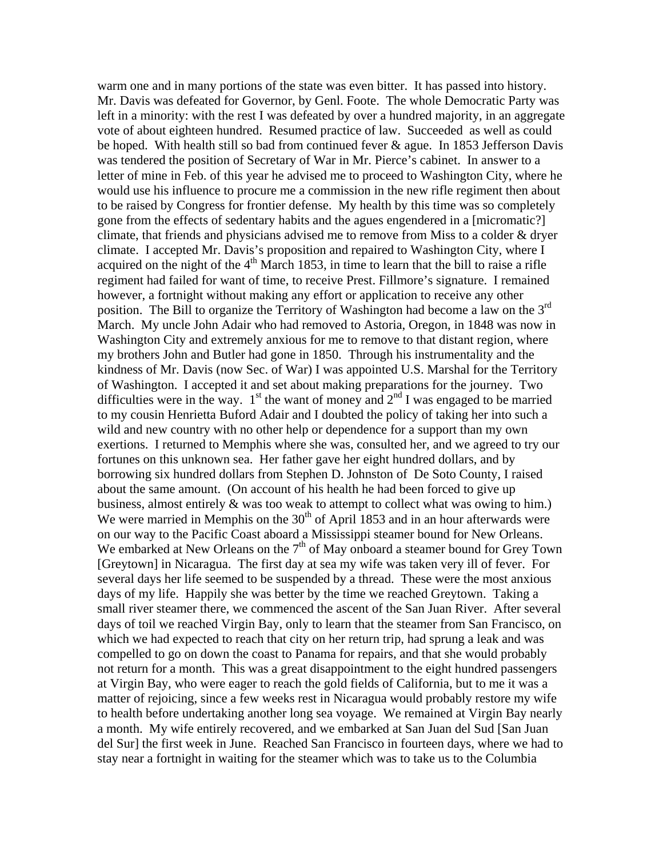warm one and in many portions of the state was even bitter. It has passed into history. Mr. Davis was defeated for Governor, by Genl. Foote. The whole Democratic Party was left in a minority: with the rest I was defeated by over a hundred majority, in an aggregate vote of about eighteen hundred. Resumed practice of law. Succeeded as well as could be hoped. With health still so bad from continued fever  $\&$  ague. In 1853 Jefferson Davis was tendered the position of Secretary of War in Mr. Pierce's cabinet. In answer to a letter of mine in Feb. of this year he advised me to proceed to Washington City, where he would use his influence to procure me a commission in the new rifle regiment then about to be raised by Congress for frontier defense. My health by this time was so completely gone from the effects of sedentary habits and the agues engendered in a [micromatic?] climate, that friends and physicians advised me to remove from Miss to a colder & dryer climate. I accepted Mr. Davis's proposition and repaired to Washington City, where I acquired on the night of the  $4<sup>th</sup>$  March 1853, in time to learn that the bill to raise a rifle regiment had failed for want of time, to receive Prest. Fillmore's signature. I remained however, a fortnight without making any effort or application to receive any other position. The Bill to organize the Territory of Washington had become a law on the 3rd March. My uncle John Adair who had removed to Astoria, Oregon, in 1848 was now in Washington City and extremely anxious for me to remove to that distant region, where my brothers John and Butler had gone in 1850. Through his instrumentality and the kindness of Mr. Davis (now Sec. of War) I was appointed U.S. Marshal for the Territory of Washington. I accepted it and set about making preparations for the journey. Two difficulties were in the way.  $1<sup>st</sup>$  the want of money and  $2<sup>nd</sup>$  I was engaged to be married to my cousin Henrietta Buford Adair and I doubted the policy of taking her into such a wild and new country with no other help or dependence for a support than my own exertions. I returned to Memphis where she was, consulted her, and we agreed to try our fortunes on this unknown sea. Her father gave her eight hundred dollars, and by borrowing six hundred dollars from Stephen D. Johnston of De Soto County, I raised about the same amount. (On account of his health he had been forced to give up business, almost entirely & was too weak to attempt to collect what was owing to him.) We were married in Memphis on the  $30<sup>th</sup>$  of April 1853 and in an hour afterwards were on our way to the Pacific Coast aboard a Mississippi steamer bound for New Orleans. We embarked at New Orleans on the  $7<sup>th</sup>$  of May onboard a steamer bound for Grey Town [Greytown] in Nicaragua. The first day at sea my wife was taken very ill of fever. For several days her life seemed to be suspended by a thread. These were the most anxious days of my life. Happily she was better by the time we reached Greytown. Taking a small river steamer there, we commenced the ascent of the San Juan River. After several days of toil we reached Virgin Bay, only to learn that the steamer from San Francisco, on which we had expected to reach that city on her return trip, had sprung a leak and was compelled to go on down the coast to Panama for repairs, and that she would probably not return for a month. This was a great disappointment to the eight hundred passengers at Virgin Bay, who were eager to reach the gold fields of California, but to me it was a matter of rejoicing, since a few weeks rest in Nicaragua would probably restore my wife to health before undertaking another long sea voyage. We remained at Virgin Bay nearly a month. My wife entirely recovered, and we embarked at San Juan del Sud [San Juan del Sur] the first week in June. Reached San Francisco in fourteen days, where we had to stay near a fortnight in waiting for the steamer which was to take us to the Columbia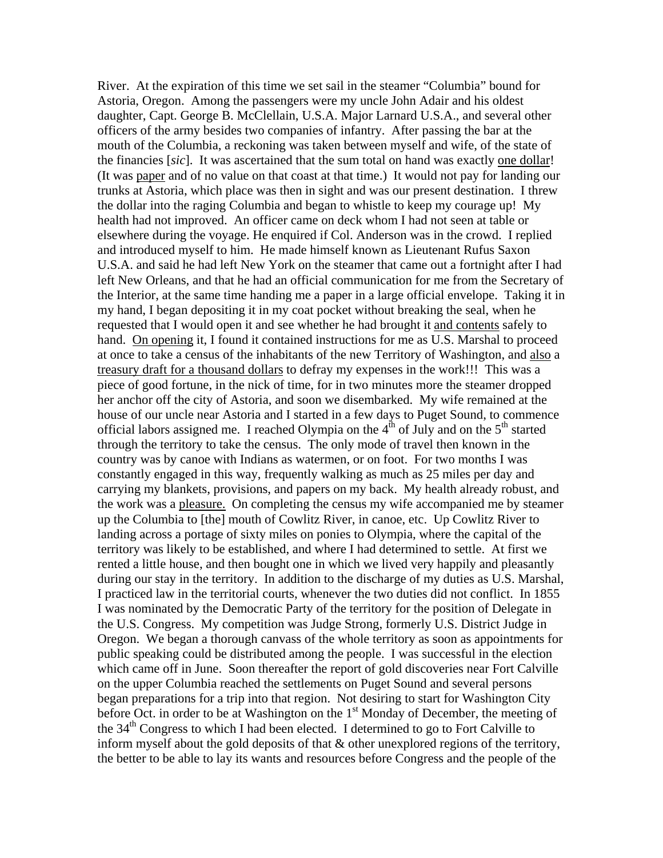River. At the expiration of this time we set sail in the steamer "Columbia" bound for Astoria, Oregon. Among the passengers were my uncle John Adair and his oldest daughter, Capt. George B. McClellain, U.S.A. Major Larnard U.S.A., and several other officers of the army besides two companies of infantry. After passing the bar at the mouth of the Columbia, a reckoning was taken between myself and wife, of the state of the financies [*sic*]. It was ascertained that the sum total on hand was exactly one dollar! (It was paper and of no value on that coast at that time.) It would not pay for landing our trunks at Astoria, which place was then in sight and was our present destination. I threw the dollar into the raging Columbia and began to whistle to keep my courage up! My health had not improved. An officer came on deck whom I had not seen at table or elsewhere during the voyage. He enquired if Col. Anderson was in the crowd. I replied and introduced myself to him. He made himself known as Lieutenant Rufus Saxon U.S.A. and said he had left New York on the steamer that came out a fortnight after I had left New Orleans, and that he had an official communication for me from the Secretary of the Interior, at the same time handing me a paper in a large official envelope. Taking it in my hand, I began depositing it in my coat pocket without breaking the seal, when he requested that I would open it and see whether he had brought it and contents safely to hand. On opening it, I found it contained instructions for me as U.S. Marshal to proceed at once to take a census of the inhabitants of the new Territory of Washington, and also a treasury draft for a thousand dollars to defray my expenses in the work!!! This was a piece of good fortune, in the nick of time, for in two minutes more the steamer dropped her anchor off the city of Astoria, and soon we disembarked. My wife remained at the house of our uncle near Astoria and I started in a few days to Puget Sound, to commence official labors assigned me. I reached Olympia on the  $4<sup>th</sup>$  of July and on the  $5<sup>th</sup>$  started through the territory to take the census. The only mode of travel then known in the country was by canoe with Indians as watermen, or on foot. For two months I was constantly engaged in this way, frequently walking as much as 25 miles per day and carrying my blankets, provisions, and papers on my back. My health already robust, and the work was a pleasure. On completing the census my wife accompanied me by steamer up the Columbia to [the] mouth of Cowlitz River, in canoe, etc. Up Cowlitz River to landing across a portage of sixty miles on ponies to Olympia, where the capital of the territory was likely to be established, and where I had determined to settle. At first we rented a little house, and then bought one in which we lived very happily and pleasantly during our stay in the territory. In addition to the discharge of my duties as U.S. Marshal, I practiced law in the territorial courts, whenever the two duties did not conflict. In 1855 I was nominated by the Democratic Party of the territory for the position of Delegate in the U.S. Congress. My competition was Judge Strong, formerly U.S. District Judge in Oregon. We began a thorough canvass of the whole territory as soon as appointments for public speaking could be distributed among the people. I was successful in the election which came off in June. Soon thereafter the report of gold discoveries near Fort Calville on the upper Columbia reached the settlements on Puget Sound and several persons began preparations for a trip into that region. Not desiring to start for Washington City before Oct. in order to be at Washington on the  $1<sup>st</sup>$  Monday of December, the meeting of the  $34<sup>th</sup>$  Congress to which I had been elected. I determined to go to Fort Calville to inform myself about the gold deposits of that & other unexplored regions of the territory, the better to be able to lay its wants and resources before Congress and the people of the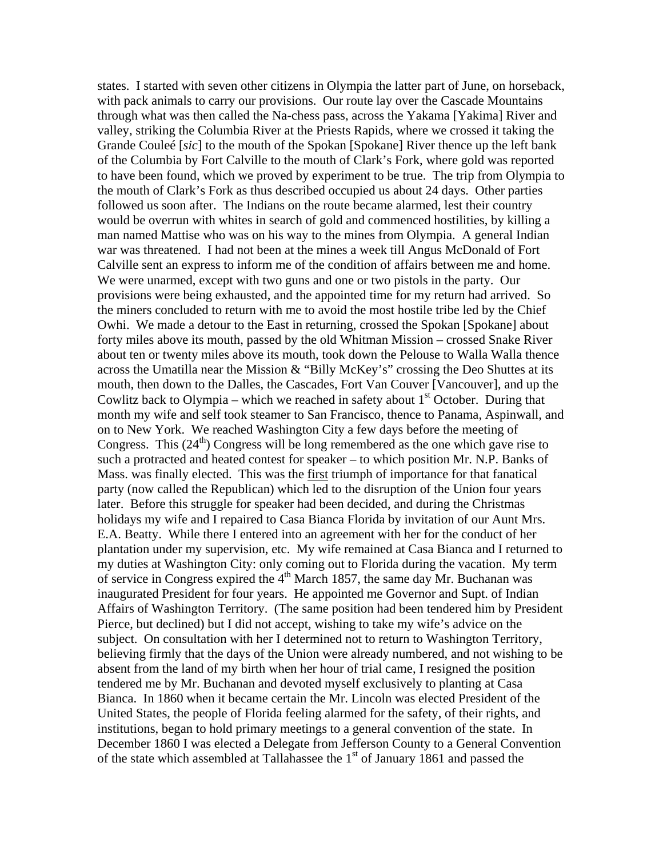states. I started with seven other citizens in Olympia the latter part of June, on horseback, with pack animals to carry our provisions. Our route lay over the Cascade Mountains through what was then called the Na-chess pass, across the Yakama [Yakima] River and valley, striking the Columbia River at the Priests Rapids, where we crossed it taking the Grande Couleé [*sic*] to the mouth of the Spokan [Spokane] River thence up the left bank of the Columbia by Fort Calville to the mouth of Clark's Fork, where gold was reported to have been found, which we proved by experiment to be true. The trip from Olympia to the mouth of Clark's Fork as thus described occupied us about 24 days. Other parties followed us soon after. The Indians on the route became alarmed, lest their country would be overrun with whites in search of gold and commenced hostilities, by killing a man named Mattise who was on his way to the mines from Olympia. A general Indian war was threatened. I had not been at the mines a week till Angus McDonald of Fort Calville sent an express to inform me of the condition of affairs between me and home. We were unarmed, except with two guns and one or two pistols in the party. Our provisions were being exhausted, and the appointed time for my return had arrived. So the miners concluded to return with me to avoid the most hostile tribe led by the Chief Owhi. We made a detour to the East in returning, crossed the Spokan [Spokane] about forty miles above its mouth, passed by the old Whitman Mission – crossed Snake River about ten or twenty miles above its mouth, took down the Pelouse to Walla Walla thence across the Umatilla near the Mission & "Billy McKey's" crossing the Deo Shuttes at its mouth, then down to the Dalles, the Cascades, Fort Van Couver [Vancouver], and up the Cowlitz back to Olympia – which we reached in safety about  $1<sup>st</sup>$  October. During that month my wife and self took steamer to San Francisco, thence to Panama, Aspinwall, and on to New York. We reached Washington City a few days before the meeting of Congress. This  $(24<sup>th</sup>)$  Congress will be long remembered as the one which gave rise to such a protracted and heated contest for speaker – to which position Mr. N.P. Banks of Mass. was finally elected. This was the first triumph of importance for that fanatical party (now called the Republican) which led to the disruption of the Union four years later. Before this struggle for speaker had been decided, and during the Christmas holidays my wife and I repaired to Casa Bianca Florida by invitation of our Aunt Mrs. E.A. Beatty. While there I entered into an agreement with her for the conduct of her plantation under my supervision, etc. My wife remained at Casa Bianca and I returned to my duties at Washington City: only coming out to Florida during the vacation. My term of service in Congress expired the  $4<sup>th</sup>$  March 1857, the same day Mr. Buchanan was inaugurated President for four years. He appointed me Governor and Supt. of Indian Affairs of Washington Territory. (The same position had been tendered him by President Pierce, but declined) but I did not accept, wishing to take my wife's advice on the subject. On consultation with her I determined not to return to Washington Territory, believing firmly that the days of the Union were already numbered, and not wishing to be absent from the land of my birth when her hour of trial came, I resigned the position tendered me by Mr. Buchanan and devoted myself exclusively to planting at Casa Bianca. In 1860 when it became certain the Mr. Lincoln was elected President of the United States, the people of Florida feeling alarmed for the safety, of their rights, and institutions, began to hold primary meetings to a general convention of the state. In December 1860 I was elected a Delegate from Jefferson County to a General Convention of the state which assembled at Tallahassee the  $1<sup>st</sup>$  of January 1861 and passed the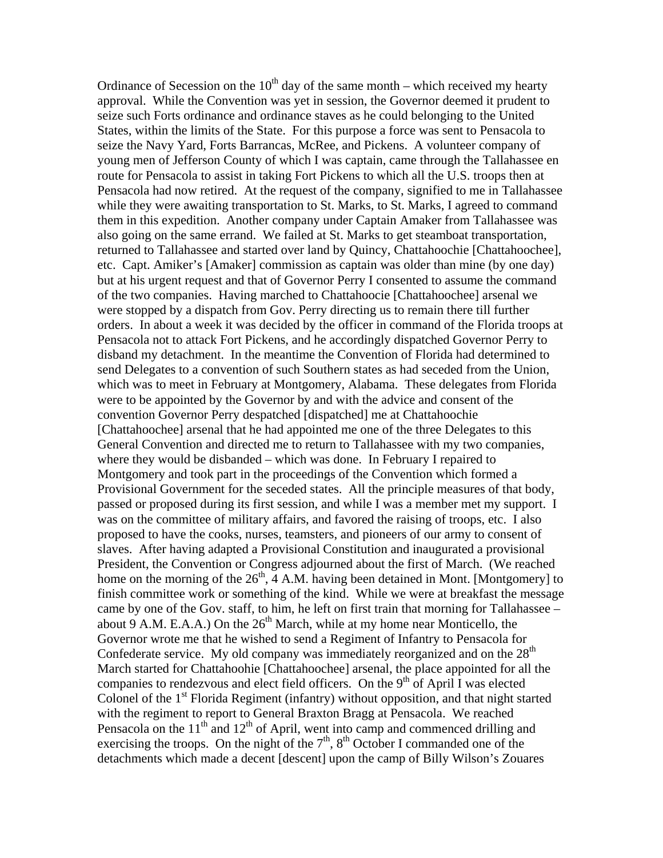Ordinance of Secession on the  $10<sup>th</sup>$  day of the same month – which received my hearty approval. While the Convention was yet in session, the Governor deemed it prudent to seize such Forts ordinance and ordinance staves as he could belonging to the United States, within the limits of the State. For this purpose a force was sent to Pensacola to seize the Navy Yard, Forts Barrancas, McRee, and Pickens. A volunteer company of young men of Jefferson County of which I was captain, came through the Tallahassee en route for Pensacola to assist in taking Fort Pickens to which all the U.S. troops then at Pensacola had now retired. At the request of the company, signified to me in Tallahassee while they were awaiting transportation to St. Marks, to St. Marks, I agreed to command them in this expedition. Another company under Captain Amaker from Tallahassee was also going on the same errand. We failed at St. Marks to get steamboat transportation, returned to Tallahassee and started over land by Quincy, Chattahoochie [Chattahoochee], etc. Capt. Amiker's [Amaker] commission as captain was older than mine (by one day) but at his urgent request and that of Governor Perry I consented to assume the command of the two companies. Having marched to Chattahoocie [Chattahoochee] arsenal we were stopped by a dispatch from Gov. Perry directing us to remain there till further orders. In about a week it was decided by the officer in command of the Florida troops at Pensacola not to attack Fort Pickens, and he accordingly dispatched Governor Perry to disband my detachment. In the meantime the Convention of Florida had determined to send Delegates to a convention of such Southern states as had seceded from the Union, which was to meet in February at Montgomery, Alabama. These delegates from Florida were to be appointed by the Governor by and with the advice and consent of the convention Governor Perry despatched [dispatched] me at Chattahoochie [Chattahoochee] arsenal that he had appointed me one of the three Delegates to this General Convention and directed me to return to Tallahassee with my two companies, where they would be disbanded – which was done. In February I repaired to Montgomery and took part in the proceedings of the Convention which formed a Provisional Government for the seceded states. All the principle measures of that body, passed or proposed during its first session, and while I was a member met my support. I was on the committee of military affairs, and favored the raising of troops, etc. I also proposed to have the cooks, nurses, teamsters, and pioneers of our army to consent of slaves. After having adapted a Provisional Constitution and inaugurated a provisional President, the Convention or Congress adjourned about the first of March. (We reached home on the morning of the  $26<sup>th</sup>$ ,  $\overline{4}$  A.M. having been detained in Mont. [Montgomery] to finish committee work or something of the kind. While we were at breakfast the message came by one of the Gov. staff, to him, he left on first train that morning for Tallahassee  $$ about 9 A.M. E.A.A.) On the  $26<sup>th</sup>$  March, while at my home near Monticello, the Governor wrote me that he wished to send a Regiment of Infantry to Pensacola for Confederate service. My old company was immediately reorganized and on the  $28<sup>th</sup>$ March started for Chattahoohie [Chattahoochee] arsenal, the place appointed for all the companies to rendezvous and elect field officers. On the  $9<sup>th</sup>$  of April I was elected Colonel of the  $1<sup>st</sup>$  Florida Regiment (infantry) without opposition, and that night started with the regiment to report to General Braxton Bragg at Pensacola. We reached Pensacola on the  $11<sup>th</sup>$  and  $12<sup>th</sup>$  of April, went into camp and commenced drilling and exercising the troops. On the night of the  $7<sup>th</sup>$ ,  $8<sup>th</sup>$  October I commanded one of the detachments which made a decent [descent] upon the camp of Billy Wilson's Zouares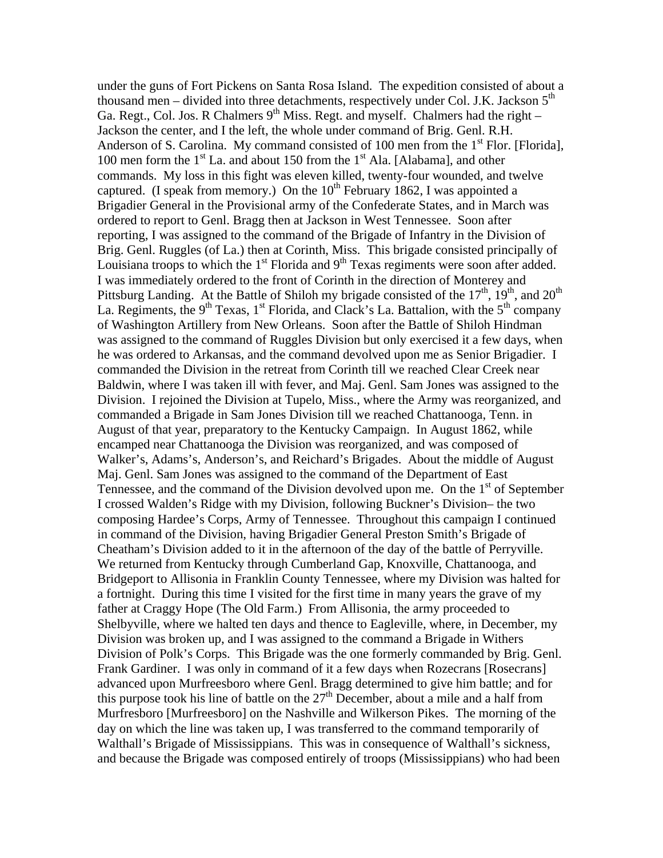under the guns of Fort Pickens on Santa Rosa Island. The expedition consisted of about a thousand men – divided into three detachments, respectively under Col. J.K. Jackson  $5<sup>th</sup>$ Ga. Regt., Col. Jos. R Chalmers  $9<sup>th</sup>$  Miss. Regt. and myself. Chalmers had the right – Jackson the center, and I the left, the whole under command of Brig. Genl. R.H. Anderson of S. Carolina. My command consisted of 100 men from the  $1<sup>st</sup>$  Flor. [Florida], 100 men form the  $1<sup>st</sup>$  La. and about 150 from the  $1<sup>st</sup>$  Ala. [Alabama], and other commands. My loss in this fight was eleven killed, twenty-four wounded, and twelve captured. (I speak from memory.) On the  $10^{th}$  February 1862, I was appointed a Brigadier General in the Provisional army of the Confederate States, and in March was ordered to report to Genl. Bragg then at Jackson in West Tennessee. Soon after reporting, I was assigned to the command of the Brigade of Infantry in the Division of Brig. Genl. Ruggles (of La.) then at Corinth, Miss. This brigade consisted principally of Louisiana troops to which the  $1<sup>st</sup>$  Florida and  $9<sup>th</sup>$  Texas regiments were soon after added. I was immediately ordered to the front of Corinth in the direction of Monterey and Pittsburg Landing. At the Battle of Shiloh my brigade consisted of the  $17<sup>th</sup>$ ,  $19<sup>th</sup>$ , and  $20<sup>th</sup>$ La. Regiments, the 9<sup>th</sup> Texas, 1<sup>st</sup> Florida, and Clack's La. Battalion, with the 5<sup>th</sup> company of Washington Artillery from New Orleans. Soon after the Battle of Shiloh Hindman was assigned to the command of Ruggles Division but only exercised it a few days, when he was ordered to Arkansas, and the command devolved upon me as Senior Brigadier. I commanded the Division in the retreat from Corinth till we reached Clear Creek near Baldwin, where I was taken ill with fever, and Maj. Genl. Sam Jones was assigned to the Division. I rejoined the Division at Tupelo, Miss., where the Army was reorganized, and commanded a Brigade in Sam Jones Division till we reached Chattanooga, Tenn. in August of that year, preparatory to the Kentucky Campaign. In August 1862, while encamped near Chattanooga the Division was reorganized, and was composed of Walker's, Adams's, Anderson's, and Reichard's Brigades. About the middle of August Maj. Genl. Sam Jones was assigned to the command of the Department of East Tennessee, and the command of the Division devolved upon me. On the  $1<sup>st</sup>$  of September I crossed Walden's Ridge with my Division, following Buckner's Division– the two composing Hardee's Corps, Army of Tennessee. Throughout this campaign I continued in command of the Division, having Brigadier General Preston Smith's Brigade of Cheatham's Division added to it in the afternoon of the day of the battle of Perryville. We returned from Kentucky through Cumberland Gap, Knoxville, Chattanooga, and Bridgeport to Allisonia in Franklin County Tennessee, where my Division was halted for a fortnight. During this time I visited for the first time in many years the grave of my father at Craggy Hope (The Old Farm.) From Allisonia, the army proceeded to Shelbyville, where we halted ten days and thence to Eagleville, where, in December, my Division was broken up, and I was assigned to the command a Brigade in Withers Division of Polk's Corps. This Brigade was the one formerly commanded by Brig. Genl. Frank Gardiner. I was only in command of it a few days when Rozecrans [Rosecrans] advanced upon Murfreesboro where Genl. Bragg determined to give him battle; and for this purpose took his line of battle on the  $27<sup>th</sup>$  December, about a mile and a half from Murfresboro [Murfreesboro] on the Nashville and Wilkerson Pikes. The morning of the day on which the line was taken up, I was transferred to the command temporarily of Walthall's Brigade of Mississippians. This was in consequence of Walthall's sickness, and because the Brigade was composed entirely of troops (Mississippians) who had been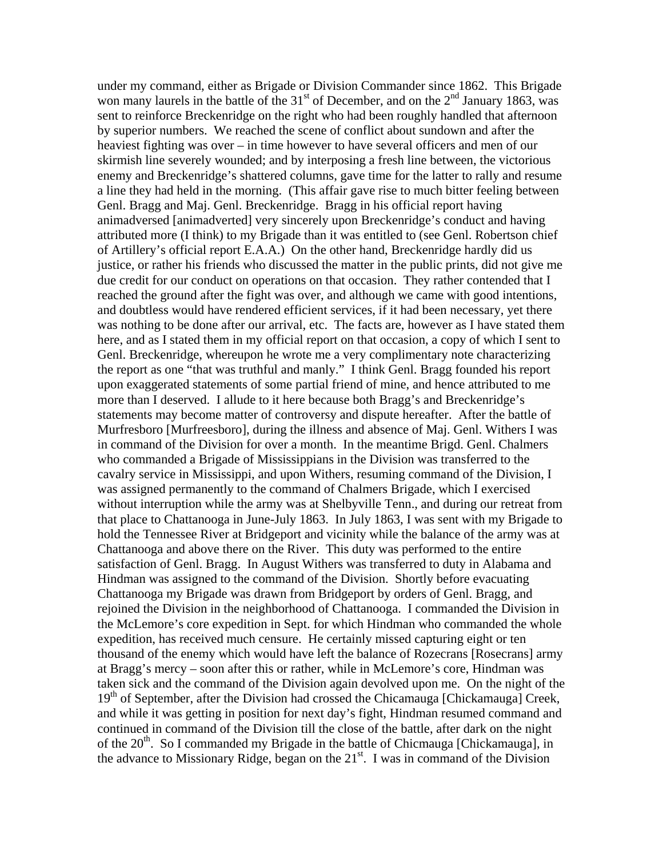under my command, either as Brigade or Division Commander since 1862. This Brigade won many laurels in the battle of the  $31<sup>st</sup>$  of December, and on the  $2<sup>nd</sup>$  January 1863, was sent to reinforce Breckenridge on the right who had been roughly handled that afternoon by superior numbers. We reached the scene of conflict about sundown and after the heaviest fighting was over – in time however to have several officers and men of our skirmish line severely wounded; and by interposing a fresh line between, the victorious enemy and Breckenridge's shattered columns, gave time for the latter to rally and resume a line they had held in the morning. (This affair gave rise to much bitter feeling between Genl. Bragg and Maj. Genl. Breckenridge. Bragg in his official report having animadversed [animadverted] very sincerely upon Breckenridge's conduct and having attributed more (I think) to my Brigade than it was entitled to (see Genl. Robertson chief of Artillery's official report E.A.A.) On the other hand, Breckenridge hardly did us justice, or rather his friends who discussed the matter in the public prints, did not give me due credit for our conduct on operations on that occasion. They rather contended that I reached the ground after the fight was over, and although we came with good intentions, and doubtless would have rendered efficient services, if it had been necessary, yet there was nothing to be done after our arrival, etc. The facts are, however as I have stated them here, and as I stated them in my official report on that occasion, a copy of which I sent to Genl. Breckenridge, whereupon he wrote me a very complimentary note characterizing the report as one "that was truthful and manly." I think Genl. Bragg founded his report upon exaggerated statements of some partial friend of mine, and hence attributed to me more than I deserved. I allude to it here because both Bragg's and Breckenridge's statements may become matter of controversy and dispute hereafter. After the battle of Murfresboro [Murfreesboro], during the illness and absence of Maj. Genl. Withers I was in command of the Division for over a month. In the meantime Brigd. Genl. Chalmers who commanded a Brigade of Mississippians in the Division was transferred to the cavalry service in Mississippi, and upon Withers, resuming command of the Division, I was assigned permanently to the command of Chalmers Brigade, which I exercised without interruption while the army was at Shelbyville Tenn., and during our retreat from that place to Chattanooga in June-July 1863. In July 1863, I was sent with my Brigade to hold the Tennessee River at Bridgeport and vicinity while the balance of the army was at Chattanooga and above there on the River. This duty was performed to the entire satisfaction of Genl. Bragg. In August Withers was transferred to duty in Alabama and Hindman was assigned to the command of the Division. Shortly before evacuating Chattanooga my Brigade was drawn from Bridgeport by orders of Genl. Bragg, and rejoined the Division in the neighborhood of Chattanooga. I commanded the Division in the McLemore's core expedition in Sept. for which Hindman who commanded the whole expedition, has received much censure. He certainly missed capturing eight or ten thousand of the enemy which would have left the balance of Rozecrans [Rosecrans] army at Bragg's mercy – soon after this or rather, while in McLemore's core, Hindman was taken sick and the command of the Division again devolved upon me. On the night of the  $19<sup>th</sup>$  of September, after the Division had crossed the Chicamauga [Chickamauga] Creek, and while it was getting in position for next day's fight, Hindman resumed command and continued in command of the Division till the close of the battle, after dark on the night of the 20<sup>th</sup>. So I commanded my Brigade in the battle of Chicmauga [Chickamauga], in the advance to Missionary Ridge, began on the  $21<sup>st</sup>$ . I was in command of the Division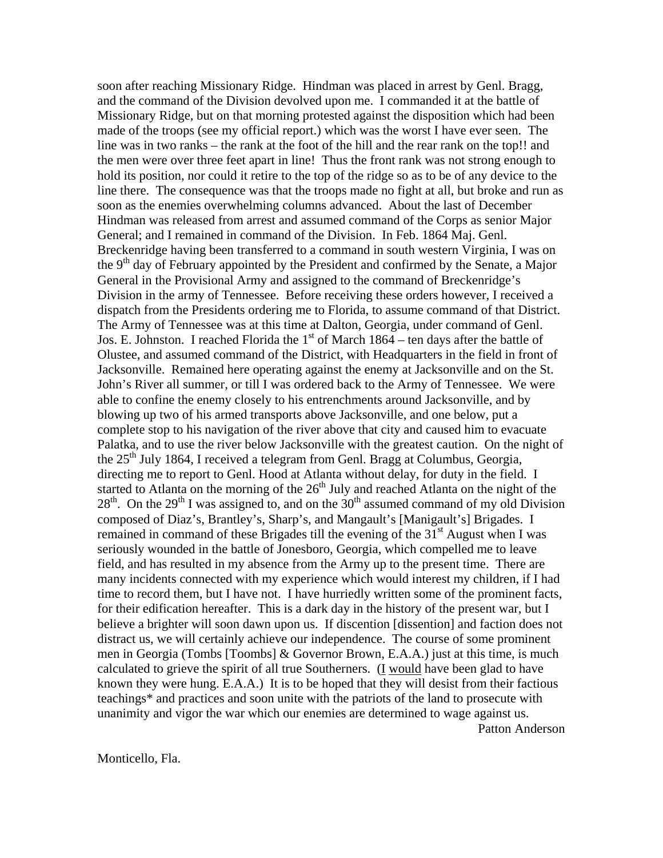soon after reaching Missionary Ridge. Hindman was placed in arrest by Genl. Bragg, and the command of the Division devolved upon me. I commanded it at the battle of Missionary Ridge, but on that morning protested against the disposition which had been made of the troops (see my official report.) which was the worst I have ever seen. The line was in two ranks – the rank at the foot of the hill and the rear rank on the top!! and the men were over three feet apart in line! Thus the front rank was not strong enough to hold its position, nor could it retire to the top of the ridge so as to be of any device to the line there. The consequence was that the troops made no fight at all, but broke and run as soon as the enemies overwhelming columns advanced. About the last of December Hindman was released from arrest and assumed command of the Corps as senior Major General; and I remained in command of the Division. In Feb. 1864 Maj. Genl. Breckenridge having been transferred to a command in south western Virginia, I was on the  $9<sup>th</sup>$  day of February appointed by the President and confirmed by the Senate, a Major General in the Provisional Army and assigned to the command of Breckenridge's Division in the army of Tennessee. Before receiving these orders however, I received a dispatch from the Presidents ordering me to Florida, to assume command of that District. The Army of Tennessee was at this time at Dalton, Georgia, under command of Genl. Jos. E. Johnston. I reached Florida the  $1<sup>st</sup>$  of March 1864 – ten days after the battle of Olustee, and assumed command of the District, with Headquarters in the field in front of Jacksonville. Remained here operating against the enemy at Jacksonville and on the St. John's River all summer, or till I was ordered back to the Army of Tennessee. We were able to confine the enemy closely to his entrenchments around Jacksonville, and by blowing up two of his armed transports above Jacksonville, and one below, put a complete stop to his navigation of the river above that city and caused him to evacuate Palatka, and to use the river below Jacksonville with the greatest caution. On the night of the  $25<sup>th</sup>$  July 1864, I received a telegram from Genl. Bragg at Columbus, Georgia, directing me to report to Genl. Hood at Atlanta without delay, for duty in the field. I started to Atlanta on the morning of the  $26<sup>th</sup>$  July and reached Atlanta on the night of the  $28<sup>th</sup>$ . On the  $29<sup>th</sup>$  I was assigned to, and on the  $30<sup>th</sup>$  assumed command of my old Division composed of Diaz's, Brantley's, Sharp's, and Mangault's [Manigault's] Brigades. I remained in command of these Brigades till the evening of the 31<sup>st</sup> August when I was seriously wounded in the battle of Jonesboro, Georgia, which compelled me to leave field, and has resulted in my absence from the Army up to the present time. There are many incidents connected with my experience which would interest my children, if I had time to record them, but I have not. I have hurriedly written some of the prominent facts, for their edification hereafter. This is a dark day in the history of the present war, but I believe a brighter will soon dawn upon us. If discention [dissention] and faction does not distract us, we will certainly achieve our independence. The course of some prominent men in Georgia (Tombs [Toombs] & Governor Brown, E.A.A.) just at this time, is much calculated to grieve the spirit of all true Southerners. (I would have been glad to have known they were hung. E.A.A.) It is to be hoped that they will desist from their factious teachings\* and practices and soon unite with the patriots of the land to prosecute with unanimity and vigor the war which our enemies are determined to wage against us. Patton Anderson

Monticello, Fla.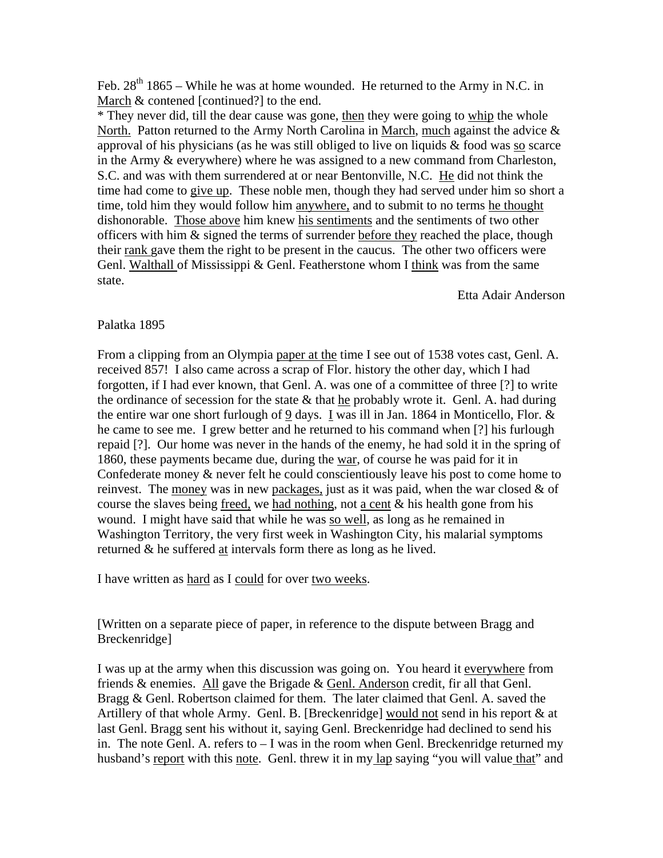Feb.  $28<sup>th</sup> 1865$  – While he was at home wounded. He returned to the Army in N.C. in March & contened [continued?] to the end.

\* They never did, till the dear cause was gone, then they were going to whip the whole North. Patton returned to the Army North Carolina in March, much against the advice & approval of his physicians (as he was still obliged to live on liquids & food was so scarce in the Army & everywhere) where he was assigned to a new command from Charleston, S.C. and was with them surrendered at or near Bentonville, N.C. He did not think the time had come to give up. These noble men, though they had served under him so short a time, told him they would follow him anywhere, and to submit to no terms he thought dishonorable. Those above him knew his sentiments and the sentiments of two other officers with him & signed the terms of surrender before they reached the place, though their rank gave them the right to be present in the caucus. The other two officers were Genl. Walthall of Mississippi & Genl. Featherstone whom I think was from the same state.

Etta Adair Anderson

## Palatka 1895

From a clipping from an Olympia paper at the time I see out of 1538 votes cast, Genl. A. received 857! I also came across a scrap of Flor. history the other day, which I had forgotten, if I had ever known, that Genl. A. was one of a committee of three [?] to write the ordinance of secession for the state  $\&$  that he probably wrote it. Genl. A. had during the entire war one short furlough of 9 days. I was ill in Jan. 1864 in Monticello, Flor. & he came to see me. I grew better and he returned to his command when [?] his furlough repaid [?]. Our home was never in the hands of the enemy, he had sold it in the spring of 1860, these payments became due, during the war, of course he was paid for it in Confederate money & never felt he could conscientiously leave his post to come home to reinvest. The money was in new packages, just as it was paid, when the war closed  $\&$  of course the slaves being <u>freed</u>, we had nothing, not a cent  $\&$  his health gone from his wound. I might have said that while he was so well, as long as he remained in Washington Territory, the very first week in Washington City, his malarial symptoms returned & he suffered at intervals form there as long as he lived.

I have written as hard as I could for over two weeks.

[Written on a separate piece of paper, in reference to the dispute between Bragg and Breckenridge]

I was up at the army when this discussion was going on. You heard it everywhere from friends  $\&$  enemies. All gave the Brigade  $\&$  Genl. Anderson credit, fir all that Genl. Bragg & Genl. Robertson claimed for them. The later claimed that Genl. A. saved the Artillery of that whole Army. Genl. B. [Breckenridge] would not send in his report & at last Genl. Bragg sent his without it, saying Genl. Breckenridge had declined to send his in. The note Genl. A. refers to – I was in the room when Genl. Breckenridge returned my husband's report with this note. Genl. threw it in my lap saying "you will value that" and